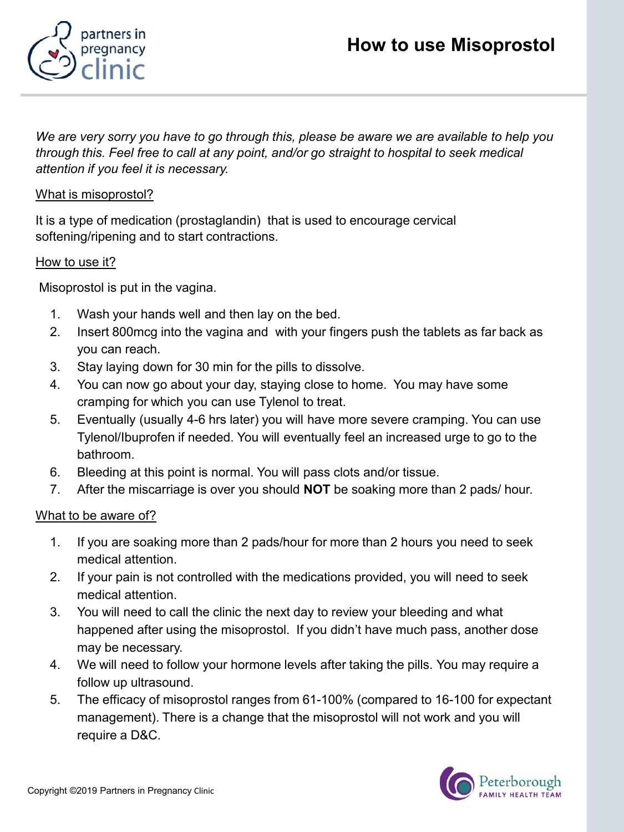



*We are very sorry you have to go through this, please be aware we are available to help you through this. Feel free to call at any point, and/or go straight to hospital to seek medical attention if you feel it is necessary.* 

# What is misoprostol?

It is a type of medication (prostaglandin) that is used to encourage cervical softening/ripening and to start contractions.

#### How to use it?

Misoprostol is put in the vagina.

- 1. Wash your hands well and then lay on the bed.
- 2. Insert 800mcg into the vagina and with your fingers push the tablets as far back as you can reach.
- 3. Stay laying down for 30 min for the pills to dissolve.
- 4. You can now go about your day, staying close to home. You may have some cramping for which you can use Tylenol to treat.
- 5. Eventually (usually 4-6 hrs later) you will have more severe cramping. You can use Tylenol/Ibuprofen if needed. You will eventually feel an increased urge to go to the bathroom.
- 6. Bleeding at this point is normal. You will pass clots and/or tissue.
- 7. After the miscarriage is over you should **NOT** be soaking more than 2 pads/ hour.

## What to be aware of?

- 1. If you are soaking more than 2 pads/hour for more than 2 hours you need to seek medical attention.
- 2. If your pain is not controlled with the medications provided, you will need to seek medical attention.
- 3. You will need to call the clinic the next day to review your bleeding and what happened after using the misoprostol. If you didn't have much pass, another dose may be necessary.
- 4. We will need to follow your hormone levels after taking the pills. You may require a follow up ultrasound.
- 5. The efficacy of misoprostol ranges from 61-100% (compared to 16-100 for expectant management). There is a change that the misoprostol will not work and you will require a D&C.